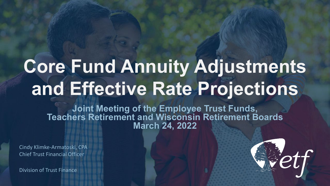## **Core Fund Annuity Adjustments and Effective Rate Projections**

**Joint Meeting of the Employee Trust Funds, Teachers Retirement and Wisconsin Retirement Boards March 24, 2022**

Cindy Klimke-Armatoski, CPA Chief Trust Financial Officer

Division of Trust Finance

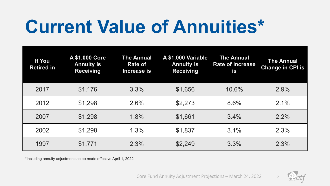#### **Current Value of Annuities\***

| If You<br><b>Retired in</b> | A \$1,000 Core<br><b>Annuity is</b><br><b>Receiving</b> | <b>The Annual</b><br><b>Rate of</b><br>Increase is | A \$1,000 Variable<br><b>Annuity is</b><br><b>Receiving</b> | <b>The Annual</b><br><b>Rate of Increase</b><br>is | <b>The Annual</b><br><b>Change in CPI is</b> |
|-----------------------------|---------------------------------------------------------|----------------------------------------------------|-------------------------------------------------------------|----------------------------------------------------|----------------------------------------------|
| 2017                        | \$1,176                                                 | 3.3%                                               | \$1,656                                                     | 10.6%                                              | 2.9%                                         |
| 2012                        | \$1,298                                                 | 2.6%                                               | \$2,273                                                     | 8.6%                                               | 2.1%                                         |
| 2007                        | \$1,298                                                 | 1.8%                                               | \$1,661                                                     | 3.4%                                               | $2.2\%$                                      |
| 2002                        | \$1,298                                                 | 1.3%                                               | \$1,837                                                     | 3.1%                                               | 2.3%                                         |
| 1997                        | \$1,771                                                 | 2.3%                                               | \$2,249                                                     | 3.3%                                               | 2.3%                                         |

\*Including annuity adjustments to be made effective April 1, 2022

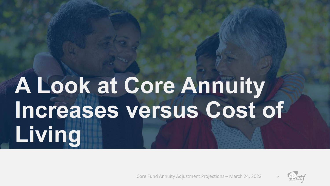## **A Look at Core Annuity Increases versus Cost of Living**

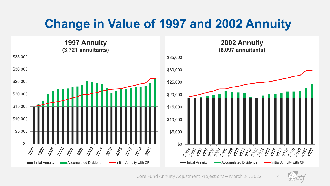#### **Change in Value of 1997 and 2002 Annuity**

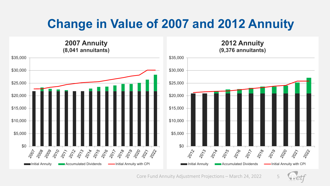#### **Change in Value of 2007 and 2012 Annuity**

**(8,041 annuitants) (9,376 annuitants)** \$35,000 \$35,000 \$30,000 \$30,000 \$25,000 \$25,000 \$20,000 \$20,000 \$15,000 \$15,000 \$10,000 \$10,000 \$5,000 \$5,000  $\begin{array}{c}\n\text{30} \\
\text{30} \\
\text{30} \\
\text{30}\n\end{array}$ \$0 2010 2073 2014 2015 2016  $\langle \phi_{\gamma} \rangle$ 2078 2079 2220 2027 2008 2009 2077 22324000 2012-0019 2000 2027 2012 2022 Initial Annuity **Initial Accumulated Dividends Initial Annuity with CPI** Initial Annuity **Accumulated Dividends Initial Annuity with CPI** 

**2007 Annuity**

Core Fund Annuity Adjustment Projections – March 24, 2022

2022

**2012 Annuity**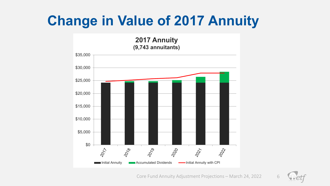#### **Change in Value of 2017 Annuity**

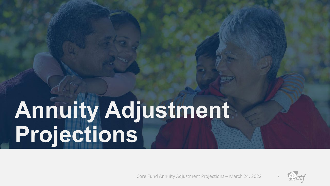## **Annuity Adjustment Projections**

![](_page_6_Picture_2.jpeg)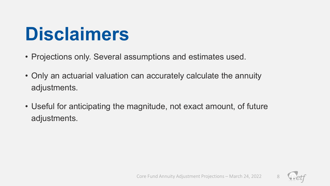#### **Disclaimers**

- Projections only. Several assumptions and estimates used.
- Only an actuarial valuation can accurately calculate the annuity adjustments.
- Useful for anticipating the magnitude, not exact amount, of future adjustments.

![](_page_7_Picture_4.jpeg)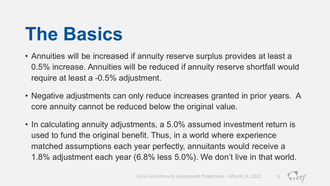#### **The Basics**

- Annuities will be increased if annuity reserve surplus provides at least a 0.5% increase. Annuities will be reduced if annuity reserve shortfall would require at least a -0.5% adjustment.
- Negative adjustments can only reduce increases granted in prior years. A core annuity cannot be reduced below the original value.
- In calculating annuity adjustments, a 5.0% assumed investment return is used to fund the original benefit. Thus, in a world where experience matched assumptions each year perfectly, annuitants would receive a 1.8% adjustment each year (6.8% less 5.0%). We don't live in that world.

![](_page_8_Picture_5.jpeg)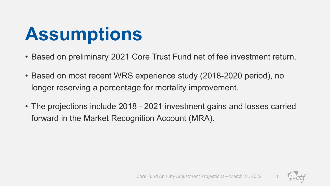#### **Assumptions**

- Based on preliminary 2021 Core Trust Fund net of fee investment return.
- Based on most recent WRS experience study (2018-2020 period), no longer reserving a percentage for mortality improvement.
- The projections include 2018 2021 investment gains and losses carried forward in the Market Recognition Account (MRA).

![](_page_9_Picture_4.jpeg)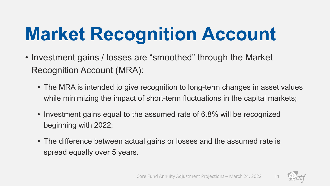## **Market Recognition Account**

- Investment gains / losses are "smoothed" through the Market Recognition Account (MRA):
	- The MRA is intended to give recognition to long-term changes in asset values while minimizing the impact of short-term fluctuations in the capital markets;
	- Investment gains equal to the assumed rate of 6.8% will be recognized beginning with 2022;
	- The difference between actual gains or losses and the assumed rate is spread equally over 5 years.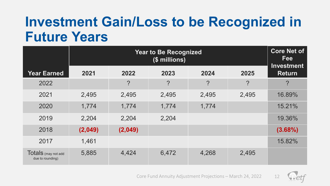#### **Investment Gain/Loss to be Recognized in Future Years**

|                                         |         | <b>Core Net of</b><br><b>Fee</b><br><b>Investment</b> |                |            |                  |                |
|-----------------------------------------|---------|-------------------------------------------------------|----------------|------------|------------------|----------------|
| <b>Year Earned</b>                      | 2021    | 2022                                                  | 2023           | 2024       | 2025             | <b>Return</b>  |
| 2022                                    |         | $\overline{?}$                                        | $\overline{?}$ | $\ddot{?}$ | $\boldsymbol{P}$ | $\overline{?}$ |
| 2021                                    | 2,495   | 2,495                                                 | 2,495          | 2,495      | 2,495            | 16.89%         |
| 2020                                    | 1,774   | 1,774                                                 | 1,774          | 1,774      |                  | 15.21%         |
| 2019                                    | 2,204   | 2,204                                                 | 2,204          |            |                  | 19.36%         |
| 2018                                    | (2,049) | (2,049)                                               |                |            |                  | $(3.68\%)$     |
| 2017                                    | 1,461   |                                                       |                |            |                  | 15.82%         |
| Totals (may not add<br>due to rounding) | 5,885   | 4,424                                                 | 6,472          | 4,268      | 2,495            |                |

![](_page_11_Picture_2.jpeg)

![](_page_11_Picture_3.jpeg)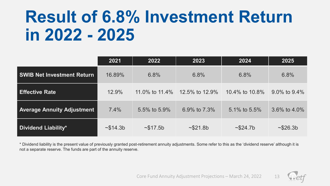#### **Result of 6.8% Investment Return in 2022 - 2025**

|                                   | 2021     | 2022           | 2023                | 2024                | 2025               |
|-----------------------------------|----------|----------------|---------------------|---------------------|--------------------|
| <b>SWIB Net Investment Return</b> | 16.89%   | 6.8%           | 6.8%                | 6.8%                | 6.8%               |
| <b>Effective Rate</b>             | 12.9%    | 11.0% to 11.4% | 12.5% to 12.9%      | 10.4% to 10.8%      | $9.0\%$ to $9.4\%$ |
| <b>Average Annuity Adjustment</b> | 7.4%     | 5.5% to 5.9%   | 6.9% to 7.3%        | 5.1% to 5.5%        | 3.6% to $4.0\%$    |
| <b>Dividend Liability*</b>        | ~514.3 b | ~17.5b         | ~521.8 <sub>b</sub> | ~524.7 <sub>b</sub> | ~26.3 b            |

\* Dividend liability is the present value of previously granted post-retirement annuity adjustments. Some refer to this as the 'dividend reserve' although it is not a separate reserve. The funds are part of the annuity reserve.

![](_page_12_Picture_4.jpeg)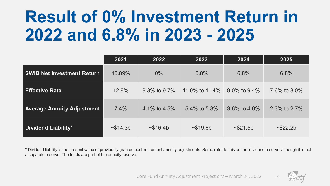#### **Result of 0% Investment Return in 2022 and 6.8% in 2023 - 2025**

|                                   | 2021                | 2022               | 2023           | 2024               | 2025                |
|-----------------------------------|---------------------|--------------------|----------------|--------------------|---------------------|
| <b>SWIB Net Investment Return</b> | 16.89%              | $0\%$              | 6.8%           | 6.8%               | 6.8%                |
| <b>Effective Rate</b>             | 12.9%               | $9.3\%$ to $9.7\%$ | 11.0% to 11.4% | $9.0\%$ to $9.4\%$ | 7.6% to 8.0%        |
| <b>Average Annuity Adjustment</b> | 7.4%                | 4.1% to 4.5%       | 5.4% to 5.8%   | 3.6% to $4.0\%$    | 2.3% to 2.7%        |
| <b>Dividend Liability*</b>        | ~514.3 <sub>b</sub> | ~16.4b             | ~19.6 b        | ~521.5b            | ~522.2 <sub>b</sub> |

\* Dividend liability is the present value of previously granted post-retirement annuity adjustments. Some refer to this as the 'dividend reserve' although it is not a separate reserve. The funds are part of the annuity reserve.

![](_page_13_Picture_3.jpeg)

![](_page_13_Picture_4.jpeg)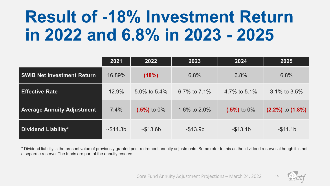#### **Result of -18% Investment Return in 2022 and 6.8% in 2023 - 2025**

|                                   | 2021     | 2022           | 2023            | 2024           | 2025                   |
|-----------------------------------|----------|----------------|-----------------|----------------|------------------------|
| <b>SWIB Net Investment Return</b> | 16.89%   | (18%)          | 6.8%            | 6.8%           | 6.8%                   |
| <b>Effective Rate</b>             | 12.9%    | 5.0% to 5.4%   | 6.7% to $7.1\%$ | 4.7% to 5.1%   | $3.1\%$ to $3.5\%$     |
| <b>Average Annuity Adjustment</b> | 7.4%     | $(.5\%)$ to 0% | 1.6% to 2.0%    | $(.5\%)$ to 0% | $(2.2\%)$ to $(1.8\%)$ |
| Dividend Liability*               | ~514.3 b | ~13.6 b        | ~13.9b          | ~13.1b         | ~511.1b                |

\* Dividend liability is the present value of previously granted post-retirement annuity adjustments. Some refer to this as the 'dividend reserve' although it is not a separate reserve. The funds are part of the annuity reserve.

![](_page_14_Picture_3.jpeg)

![](_page_14_Picture_4.jpeg)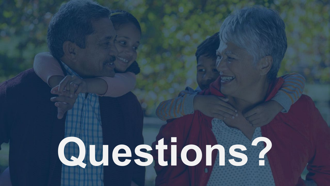# **Questions?**